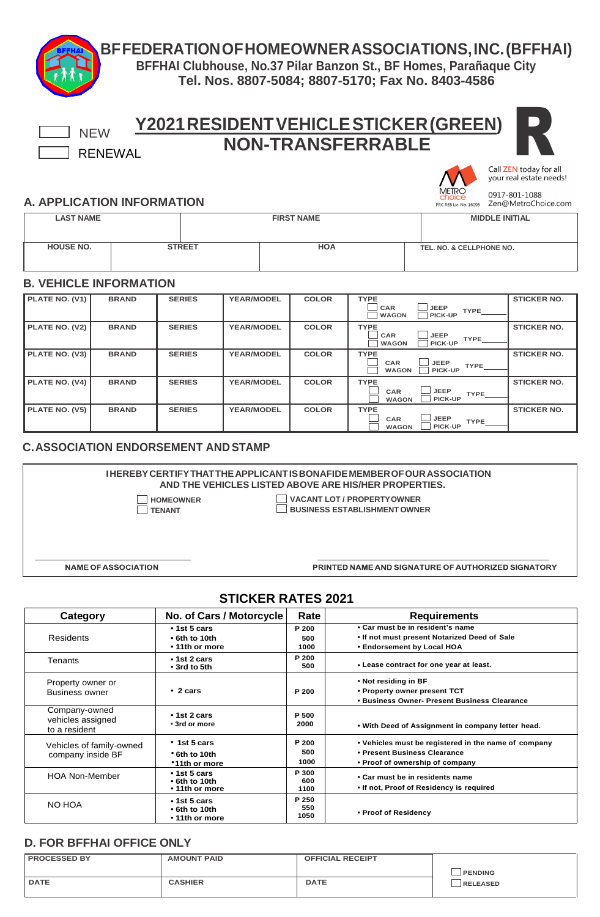**BFFEDERATIONOFHOMEOWNERASSOCIATIONS,INC.(BFFHAI)**

**BFFHAI Clubhouse, No.37 Pilar Banzon St., BF Homes, Parañaque City Tel. Nos. 8807-5084; 8807-5170; Fax No. 8403-4586**

| <b>NON-TRANSFERRABLE</b><br><b>RENEWAL</b>  |              |                  |               |                   |  |              |                                                                             |                                                                                 |                                                   |  |
|---------------------------------------------|--------------|------------------|---------------|-------------------|--|--------------|-----------------------------------------------------------------------------|---------------------------------------------------------------------------------|---------------------------------------------------|--|
|                                             |              |                  |               |                   |  |              |                                                                             |                                                                                 | Call ZEN today for all<br>your real estate needs! |  |
| <b>A. APPLICATION INFORMATION</b>           |              |                  |               |                   |  |              |                                                                             | PRC REB Lic. No. 16095                                                          | 0917-801-1088<br>Zen@MetroChoice.com              |  |
| <b>LAST NAME</b>                            |              |                  |               | <b>FIRST NAME</b> |  |              |                                                                             |                                                                                 | <b>MIDDLE INITIAL</b>                             |  |
| <b>HOUSE NO.</b>                            |              |                  | <b>STREET</b> |                   |  | <b>HOA</b>   |                                                                             | TEL. NO. & CELLPHONE NO.                                                        |                                                   |  |
| <b>B. VEHICLE INFORMATION</b>               |              |                  |               |                   |  |              |                                                                             |                                                                                 |                                                   |  |
| PLATE NO. (V1)                              | <b>BRAND</b> | <b>SERIES</b>    |               | <b>YEAR/MODEL</b> |  | <b>COLOR</b> | <b>TYPE</b><br>CAR<br><b>JEEP</b><br><b>TYPE</b><br>PICK-UP<br><b>WAGON</b> |                                                                                 | <b>STICKER NO.</b>                                |  |
| PLATE NO. (V2)                              | <b>BRAND</b> | <b>SERIES</b>    |               | <b>YEAR/MODEL</b> |  | <b>COLOR</b> | <b>TYPE</b><br>CAR<br><b>WAGON</b>                                          | <b>JEEP</b><br><b>TYPE</b><br><b>PICK-UP</b>                                    | <b>STICKER NO.</b>                                |  |
| PLATE NO. (V3)                              | <b>BRAND</b> | <b>SERIES</b>    |               | <b>YEAR/MODEL</b> |  | <b>COLOR</b> | <b>TYPE</b><br>CAR<br><b>WAGON</b>                                          | <b>JEEP</b><br><b>TYPE</b><br>PICK-UP                                           | <b>STICKER NO.</b>                                |  |
| PLATE NO. (V4)                              | <b>BRAND</b> | <b>SERIES</b>    |               | <b>YEAR/MODEL</b> |  | <b>COLOR</b> | <b>TYPE</b><br>CAR<br><b>WAGON</b>                                          | <b>JEEP</b><br><b>TYPE</b><br>PICK-UP                                           | <b>STICKER NO.</b>                                |  |
| PLATE NO. (V5)                              | <b>BRAND</b> | <b>SERIES</b>    |               | <b>YEAR/MODEL</b> |  | <b>COLOR</b> | <b>TYPE</b><br>CAR<br><b>WAGON</b>                                          | <b>JEEP</b><br><b>TYPE</b><br>PICK-UP                                           | <b>STICKER NO.</b>                                |  |
| <b>C. ASSOCIATION ENDORSEMENT AND STAMP</b> |              |                  |               |                   |  |              |                                                                             |                                                                                 |                                                   |  |
|                                             |              |                  |               |                   |  |              | AND THE VEHICLES LISTED ABOVE ARE HIS/HER PROPERTIES.                       | <b>IHEREBY CERTIFY THAT THE APPLICANT IS BONAFIDE MEMBER OF OUR ASSOCIATION</b> |                                                   |  |
|                                             |              | <b>HOMEOWNER</b> |               |                   |  |              | <b>VACANT LOT / PROPERTY OWNER</b>                                          |                                                                                 |                                                   |  |

**TENANT BUSINESS ESTABLISHMENT OWNER**

**NAME OF ASSOCIATION** 

PRINTED NAME AND SIGNATURE OF AUTHORIZED SIGNATORY

### **STICKER RATES 2021**

| Category                                            | No. of Cars / Motorcycle                                    |                      | <b>Requirements</b>                                                                                                     |
|-----------------------------------------------------|-------------------------------------------------------------|----------------------|-------------------------------------------------------------------------------------------------------------------------|
| <b>Residents</b>                                    | $\cdot$ 1st 5 cars<br>$\cdot$ 6th to 10th<br>• 11th or more | P 200<br>500<br>1000 | • Car must be in resident's name<br>. If not must present Notarized Deed of Sale<br>• Endorsement by Local HOA          |
| Tenants                                             | $\cdot$ 1st 2 cars<br>• 3rd to 5th                          | P 200<br>500         | • Lease contract for one year at least.                                                                                 |
| Property owner or<br>Business owner                 | $\cdot$ 2 cars                                              | P 200                | • Not residing in BF<br>• Property owner present TCT<br>• Business Owner- Present Business Clearance                    |
| Company-owned<br>vehicles assigned<br>to a resident | $\cdot$ 1st 2 cars<br>• 3rd or more                         | P 500<br>2000        | • With Deed of Assignment in company letter head.                                                                       |
| Vehicles of family-owned<br>company inside BF       | $\cdot$ 1st 5 cars<br>• 6th to 10th<br>*11th or more        | P 200<br>500<br>1000 | • Vehicles must be registered in the name of company<br>• Present Business Clearance<br>• Proof of ownership of company |
| <b>HOA Non-Member</b>                               | $\cdot$ 1st 5 cars<br>$\cdot$ 6th to 10th<br>• 11th or more | P 300<br>600<br>1100 | • Car must be in residents name<br>• If not, Proof of Residency is required                                             |
| NO HOA                                              | $\cdot$ 1st 5 cars<br>$\cdot$ 6th to 10th<br>• 11th or more | P 250<br>550<br>1050 | • Proof of Residency                                                                                                    |

#### **D. FOR BFFHAI OFFICE ONLY**

| <b>PROCESSED BY</b> | <b>AMOUNT PAID</b> | <b>OFFICIAL RECEIPT</b> |                |
|---------------------|--------------------|-------------------------|----------------|
|                     |                    |                         | <b>PENDING</b> |
| <b>DATE</b>         | <b>CASHIER</b>     | <b>DATE</b>             | RELEASED       |
|                     |                    |                         |                |